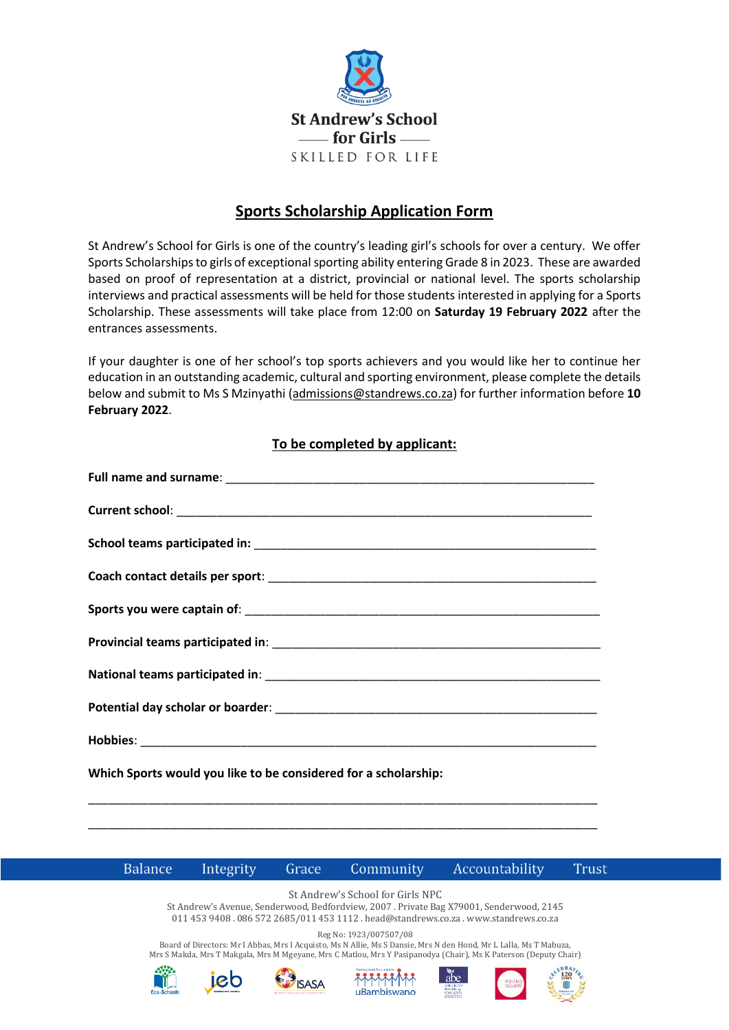

## **Sports Scholarship Application Form**

St Andrew's School for Girls is one of the country's leading girl's schools for over a century. We offer Sports Scholarships to girls of exceptional sporting ability entering Grade 8 in 2023. These are awarded based on proof of representation at a district, provincial or national level. The sports scholarship interviews and practical assessments will be held for those students interested in applying for a Sports Scholarship. These assessments will take place from 12:00 on **Saturday 19 February 2022** after the entrances assessments.

If your daughter is one of her school's top sports achievers and you would like her to continue her education in an outstanding academic, cultural and sporting environment, please complete the details below and submit to Ms S Mzinyathi [\(admissions@standrews.co.za\)](mailto:admissions@standrews.co.za) for further information before **10 February 2022**.

## **To be completed by applicant:**

| Which Sports would you like to be considered for a scholarship: |
|-----------------------------------------------------------------|
|                                                                 |
|                                                                 |



**Trust** 

St Andrew's School for Girls NPC St Andrew's Avenue, Senderwood, Bedfordview, 2007 . Private Bag X79001, Senderwood, 2145 011 453 9408 . 086 572 2685/011 453 1112 . head@standrews.co.za . www.standrews.co.za

Reg No: 1923/007507/08

Board of Directors: Mr I Abbas, Mrs I Acquisto, Ms N Allie, Ms S Dansie, Mrs N den Hond, Mr L Lalla, Ms T Mabuza, Mrs S Makda, Mrs T Makgala, Mrs M Mgeyane, Mrs C Matlou, Mrs Y Pasipanodya (Chair), Ms K Paterson (Deputy Chair)





**ISASA**